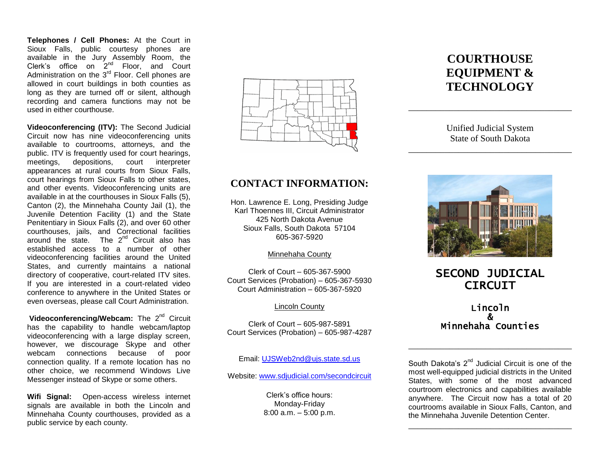**Telephones / Cell Phones:** At the Court in Sioux Falls, public courtesy phones are available in the Jury Assembly Room, the Clerk's office on  $2^{nd}$  Floor, and Court Administration on the  $3<sup>rd</sup>$  Floor. Cell phones are allowed in court buildings in both counties as long as they are turned off or silent, although recording and camera functions may not be used in either courthouse.

**Videoconferencing (ITV):** The Second Judicial Circuit now has nine videoconferencing units available to courtrooms, attorneys, and the public. ITV is frequently used for court hearings, meetings, depositions, court interpreter appearances at rural courts from Sioux Falls, court hearings from Sioux Falls to other states, and other events. Videoconferencing units are available in at the courthouses in Sioux Falls (5), Canton (2), the Minnehaha County Jail (1), the Juvenile Detention Facility (1) and the State Penitentiary in Sioux Falls (2), and over 60 other courthouses, jails, and Correctional facilities around the state. The  $2^{nd}$  Circuit also has established access to a number of other videoconferencing facilities around the United States, and currently maintains a national directory of cooperative, court-related ITV sites. If you are interested in a court-related video conference to anywhere in the United States or even overseas, please call Court Administration.

**Videoconferencing/Webcam:** The 2<sup>nd</sup> Circuit has the capability to handle webcam/laptop videoconferencing with a large display screen, however, we discourage Skype and other webcam connections because of poor connection quality. If a remote location has no other choice, we recommend Windows Live Messenger instead of Skype or some others.

**Wifi Signal:** Open-access wireless internet signals are available in both the Lincoln and Minnehaha County courthouses, provided as a public service by each county.



### **CONTACT INFORMATION:**

Hon. Lawrence E. Long, Presiding Judge Karl Thoennes III, Circuit Administrator 425 North Dakota Avenue Sioux Falls, South Dakota 57104 605-367-5920

Minnehaha County

Clerk of Court – 605-367-5900 Court Services (Probation) – 605-367-5930 Court Administration – 605-367-5920

#### Lincoln County

Clerk of Court – 605-987-5891 Court Services (Probation) – 605-987-4287

Email: [UJSWeb2nd@ujs.state.sd.us](mailto:UJSWeb2nd@ujs.state.sd.us)

Website: [www.sdjudicial.com/secondcircuit](http://www.sdjudicial.com/secondcircuit)

Clerk's office hours: Monday-Friday 8:00 a.m. – 5:00 p.m.

# **COURTHOUSE EQUIPMENT & TECHNOLOGY**

Unified Judicial System State of South Dakota

\_\_\_\_\_\_\_\_\_\_\_\_\_\_\_\_\_\_\_\_\_\_\_\_\_\_\_\_\_\_\_\_\_\_\_\_

\_\_\_\_\_\_\_\_\_\_\_\_\_\_\_\_\_\_\_\_\_\_\_\_\_\_\_\_\_\_\_\_\_\_\_\_



## SECOND JUDICIAL **CIRCUIT**

### Lincoln & Minnehaha Counties

\_\_\_\_\_\_\_\_\_\_\_\_\_\_\_\_\_\_\_\_\_\_\_\_\_\_\_\_\_\_\_\_\_\_\_\_

South Dakota's 2<sup>nd</sup> Judicial Circuit is one of the most well-equipped judicial districts in the United States, with some of the most advanced courtroom electronics and capabilities available anywhere. The Circuit now has a total of 20 courtrooms available in Sioux Falls, Canton, and the Minnehaha Juvenile Detention Center.

\_\_\_\_\_\_\_\_\_\_\_\_\_\_\_\_\_\_\_\_\_\_\_\_\_\_\_\_\_\_\_\_\_\_\_\_